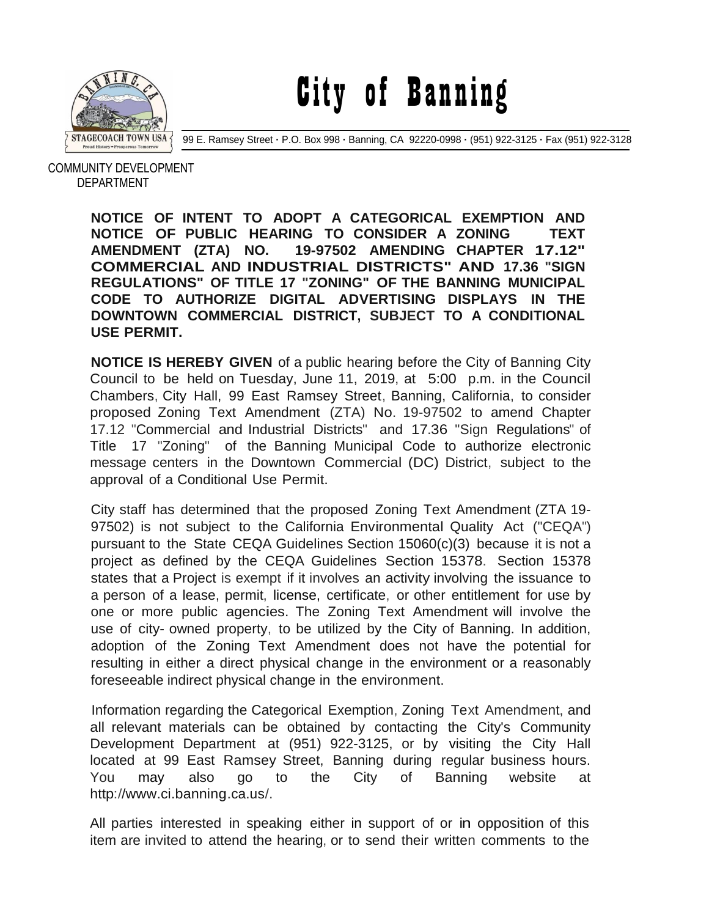

City of Banning

99 E. Ramsey Street **·** P.O. Box 998 **·** Banning, CA 92220-0998 **·** (951) 922-3125 **·** Fax (951) 922-3128

 COMMUNITY DEVELOPMENT DEPARTMENT

> **NOTICE OF INTENT TO ADOPT A CATEGORICAL EXEMPTION AND NOTICE OF PUBLIC HEARING TO CONSIDER A ZONING TEXT AMENDMENT (ZTA) NO. 19-97502 AMENDING CHAPTER 17.12" COMMERCIAL AND INDUSTRIAL DISTRICTS" AND 17.36 "SIGN REGULATIONS" OF TITLE 17 "ZONING" OF THE BANNING MUNICIPAL CODE TO AUTHORIZE DIGITAL ADVERTISING DISPLAYS IN THE DOWNTOWN COMMERCIAL DISTRICT, SUBJECT TO A CONDITIONAL USE PERMIT.**

> **NOTICE IS HEREBY GIVEN** of a public hearing before the City of Banning City Council to be held on Tuesday, June 11, 2019, at 5:00 p.m. in the Council Chambers, City Hall, 99 East Ramsey Street, Banning, California, to consider proposed Zoning Text Amendment (ZTA) No. 19-97502 to amend Chapter 17.12 "Commercial and Industrial Districts" and 17.36 "Sign Regulations" of Title 17 "Zoning" of the Banning Municipal Code to authorize electronic message centers in the Downtown Commercial (DC) District, subject to the approval of a Conditional Use Permit.

> City staff has determined that the proposed Zoning Text Amendment (ZTA 19- 97502) is not subject to the California Environmental Quality Act ("CEQA") pursuant to the State CEQA Guidelines Section 15060(c)(3) because it is not a project as defined by the CEQA Guidelines Section 15378. Section 15378 states that <sup>a</sup> Project is exempt if it involves an activity involving the issuance to a person of a lease, permit, license, certificate, or other entitlement for use by one or more public agencies. The Zoning Text Amendment will involve the use of city- owned property, to be utilized by the City of Banning. In addition, adoption of the Zoning Text Amendment does not have the potential for resulting in either a direct physical change in the environment or a reasonably foreseeable indirect physical change in the environment.

> Information regarding the Categorical Exemption, Zoning Text Amendment, and all relevant materials can be obtained by contacting the City's Community Development Department at (951) 922-3125, or by visiting the City Hall located at 99 East Ramsey Street, Banning during regular business hours. You may also go to the City of Banning website at [http://www.ci.banning.ca.us/.](http://www.ci.banning.ca.us/)

> All parties interested in speaking either in support of or in opposition of this item are invited to attend the hearing, or to send their written comments to the